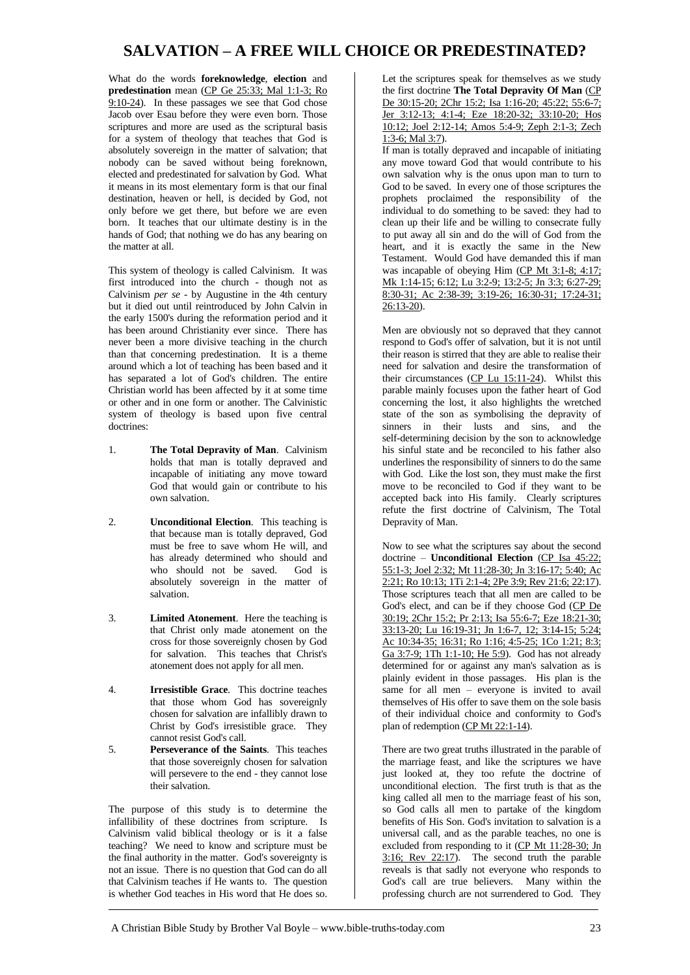## **SALVATION – A FREE WILL CHOICE OR PREDESTINATED?**

What do the words **foreknowledge**, **election** and **predestination** mean (CP Ge 25:33; Mal 1:1-3; Ro 9:10-24). In these passages we see that God chose Jacob over Esau before they were even born. Those scriptures and more are used as the scriptural basis for a system of theology that teaches that God is absolutely sovereign in the matter of salvation; that nobody can be saved without being foreknown, elected and predestinated for salvation by God. What it means in its most elementary form is that our final destination, heaven or hell, is decided by God, not only before we get there, but before we are even born. It teaches that our ultimate destiny is in the hands of God; that nothing we do has any bearing on the matter at all.

This system of theology is called Calvinism. It was first introduced into the church - though not as Calvinism *per se* - by Augustine in the 4th century but it died out until reintroduced by John Calvin in the early 1500's during the reformation period and it has been around Christianity ever since. There has never been a more divisive teaching in the church than that concerning predestination. It is a theme around which a lot of teaching has been based and it has separated a lot of God's children. The entire Christian world has been affected by it at some time or other and in one form or another. The Calvinistic system of theology is based upon five central doctrines:

- 1. **The Total Depravity of Man**. Calvinism holds that man is totally depraved and incapable of initiating any move toward God that would gain or contribute to his own salvation.
- 2. **Unconditional Election**. This teaching is that because man is totally depraved, God must be free to save whom He will, and has already determined who should and who should not be saved. God is absolutely sovereign in the matter of salvation.
- 3. **Limited Atonement**. Here the teaching is that Christ only made atonement on the cross for those sovereignly chosen by God for salvation. This teaches that Christ's atonement does not apply for all men.
- 4. **Irresistible Grace**. This doctrine teaches that those whom God has sovereignly chosen for salvation are infallibly drawn to Christ by God's irresistible grace. They cannot resist God's call.
- 5. **Perseverance of the Saints**. This teaches that those sovereignly chosen for salvation will persevere to the end - they cannot lose their salvation.

The purpose of this study is to determine the infallibility of these doctrines from scripture. Is Calvinism valid biblical theology or is it a false teaching? We need to know and scripture must be the final authority in the matter. God's sovereignty is not an issue. There is no question that God can do all that Calvinism teaches if He wants to. The question is whether God teaches in His word that He does so.

Let the scriptures speak for themselves as we study the first doctrine **The Total Depravity Of Man** (CP De 30:15-20; 2Chr 15:2; Isa 1:16-20; 45:22; 55:6-7; Jer 3:12-13; 4:1-4; Eze 18:20-32; 33:10-20; Hos 10:12; Joel 2:12-14; Amos 5:4-9; Zeph 2:1-3; Zech 1:3-6; Mal 3:7).

If man is totally depraved and incapable of initiating any move toward God that would contribute to his own salvation why is the onus upon man to turn to God to be saved. In every one of those scriptures the prophets proclaimed the responsibility of the individual to do something to be saved: they had to clean up their life and be willing to consecrate fully to put away all sin and do the will of God from the heart, and it is exactly the same in the New Testament. Would God have demanded this if man was incapable of obeying Him (CP Mt 3:1-8; 4:17; Mk 1:14-15; 6:12; Lu 3:2-9; 13:2-5; Jn 3:3; 6:27-29; 8:30-31; Ac 2:38-39; 3:19-26; 16:30-31; 17:24-31; 26:13-20).

Men are obviously not so depraved that they cannot respond to God's offer of salvation, but it is not until their reason is stirred that they are able to realise their need for salvation and desire the transformation of their circumstances (CP Lu 15:11-24). Whilst this parable mainly focuses upon the father heart of God concerning the lost, it also highlights the wretched state of the son as symbolising the depravity of sinners in their lusts and sins, and the self-determining decision by the son to acknowledge his sinful state and be reconciled to his father also underlines the responsibility of sinners to do the same with God. Like the lost son, they must make the first move to be reconciled to God if they want to be accepted back into His family. Clearly scriptures refute the first doctrine of Calvinism, The Total Depravity of Man.

Now to see what the scriptures say about the second doctrine – **Unconditional Election** (CP Isa 45:22; 55:1-3; Joel 2:32; Mt 11:28-30; Jn 3:16-17; 5:40; Ac 2:21; Ro 10:13; 1Ti 2:1-4; 2Pe 3:9; Rev 21:6; 22:17). Those scriptures teach that all men are called to be God's elect, and can be if they choose God (CP De 30:19; 2Chr 15:2; Pr 2:13; Isa 55:6-7; Eze 18:21-30; 33:13-20; Lu 16:19-31; Jn 1:6-7, 12; 3:14-15; 5:24; Ac 10:34-35; 16:31; Ro 1:16; 4:5-25; 1Co 1:21; 8:3; Ga 3:7-9; 1Th 1:1-10; He 5:9). God has not already determined for or against any man's salvation as is plainly evident in those passages. His plan is the same for all men – everyone is invited to avail themselves of His offer to save them on the sole basis of their individual choice and conformity to God's plan of redemption (CP Mt 22:1-14).

There are two great truths illustrated in the parable of the marriage feast, and like the scriptures we have just looked at, they too refute the doctrine of unconditional election. The first truth is that as the king called all men to the marriage feast of his son, so God calls all men to partake of the kingdom benefits of His Son. God's invitation to salvation is a universal call, and as the parable teaches, no one is excluded from responding to it (CP Mt 11:28-30; Jn 3:16; Rev 22:17). The second truth the parable reveals is that sadly not everyone who responds to God's call are true believers. Many within the professing church are not surrendered to God. They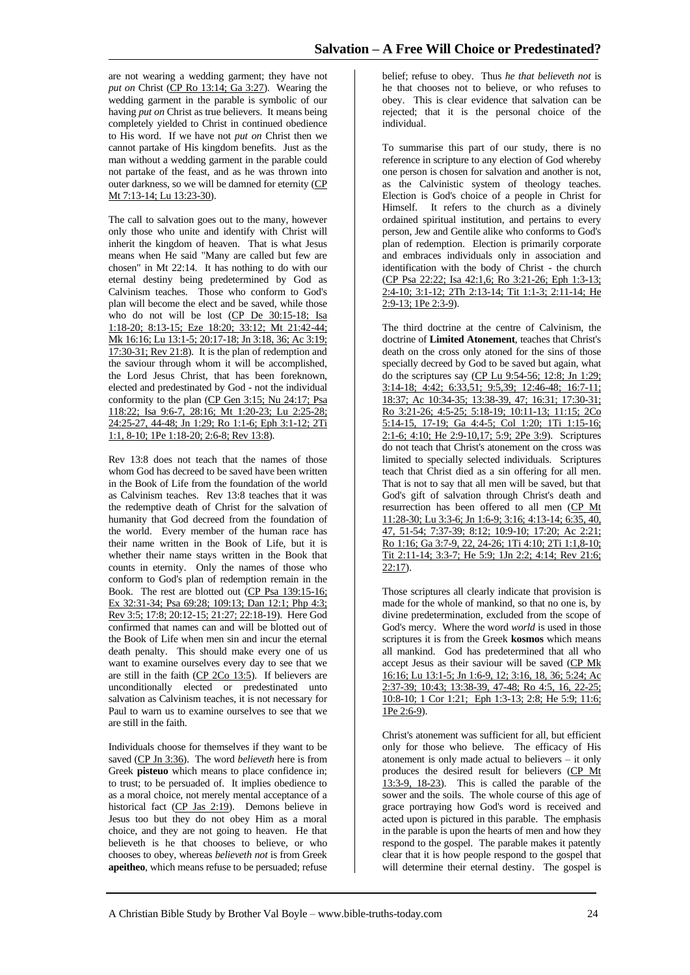are not wearing a wedding garment; they have not *put on* Christ (CP Ro 13:14; Ga 3:27). Wearing the wedding garment in the parable is symbolic of our having *put on* Christ as true believers. It means being completely yielded to Christ in continued obedience to His word. If we have not *put on* Christ then we cannot partake of His kingdom benefits. Just as the man without a wedding garment in the parable could not partake of the feast, and as he was thrown into outer darkness, so we will be damned for eternity (CP Mt 7:13-14; Lu 13:23-30).

The call to salvation goes out to the many, however only those who unite and identify with Christ will inherit the kingdom of heaven. That is what Jesus means when He said "Many are called but few are chosen" in Mt 22:14. It has nothing to do with our eternal destiny being predetermined by God as Calvinism teaches. Those who conform to God's plan will become the elect and be saved, while those who do not will be lost (CP De 30:15-18; Isa 1:18-20; 8:13-15; Eze 18:20; 33:12; Mt 21:42-44; Mk 16:16; Lu 13:1-5; 20:17-18; Jn 3:18, 36; Ac 3:19; 17:30-31; Rev 21:8). It is the plan of redemption and the saviour through whom it will be accomplished, the Lord Jesus Christ, that has been foreknown, elected and predestinated by God - not the individual conformity to the plan (CP Gen 3:15; Nu 24:17; Psa 118:22; Isa 9:6-7, 28:16; Mt 1:20-23; Lu 2:25-28; 24:25-27, 44-48; Jn 1:29; Ro 1:1-6; Eph 3:1-12; 2Ti 1:1, 8-10; 1Pe 1:18-20; 2:6-8; Rev 13:8).

Rev 13:8 does not teach that the names of those whom God has decreed to be saved have been written in the Book of Life from the foundation of the world as Calvinism teaches. Rev 13:8 teaches that it was the redemptive death of Christ for the salvation of humanity that God decreed from the foundation of the world. Every member of the human race has their name written in the Book of Life, but it is whether their name stays written in the Book that counts in eternity. Only the names of those who conform to God's plan of redemption remain in the Book. The rest are blotted out (CP Psa 139:15-16; Ex 32:31-34; Psa 69:28; 109:13; Dan 12:1; Php 4:3; Rev 3:5; 17:8; 20:12-15; 21:27; 22:18-19). Here God confirmed that names can and will be blotted out of the Book of Life when men sin and incur the eternal death penalty. This should make every one of us want to examine ourselves every day to see that we are still in the faith (CP 2Co 13:5). If believers are unconditionally elected or predestinated unto salvation as Calvinism teaches, it is not necessary for Paul to warn us to examine ourselves to see that we are still in the faith.

Individuals choose for themselves if they want to be saved (CP Jn 3:36). The word *believeth* here is from Greek **pisteuo** which means to place confidence in; to trust; to be persuaded of. It implies obedience to as a moral choice, not merely mental acceptance of a historical fact (CP Jas 2:19). Demons believe in Jesus too but they do not obey Him as a moral choice, and they are not going to heaven. He that believeth is he that chooses to believe, or who chooses to obey, whereas *believeth not* is from Greek **apeitheo**, which means refuse to be persuaded; refuse

belief; refuse to obey. Thus *he that believeth not* is he that chooses not to believe, or who refuses to obey. This is clear evidence that salvation can be rejected; that it is the personal choice of the individual.

To summarise this part of our study, there is no reference in scripture to any election of God whereby one person is chosen for salvation and another is not, as the Calvinistic system of theology teaches. Election is God's choice of a people in Christ for Himself. It refers to the church as a divinely ordained spiritual institution, and pertains to every person, Jew and Gentile alike who conforms to God's plan of redemption. Election is primarily corporate and embraces individuals only in association and identification with the body of Christ - the church (CP Psa 22:22; Isa 42:1,6; Ro 3:21-26; Eph 1:3-13; 2:4-10; 3:1-12; 2Th 2:13-14; Tit 1:1-3; 2:11-14; He 2:9-13; 1Pe 2:3-9).

The third doctrine at the centre of Calvinism, the doctrine of **Limited Atonement**, teaches that Christ's death on the cross only atoned for the sins of those specially decreed by God to be saved but again, what do the scriptures say (CP Lu 9:54-56; 12:8; Jn 1:29; 3:14-18; 4:42; 6:33,51; 9:5,39; 12:46-48; 16:7-11; 18:37; Ac 10:34-35; 13:38-39, 47; 16:31; 17:30-31; Ro 3:21-26; 4:5-25; 5:18-19; 10:11-13; 11:15; 2Co 5:14-15, 17-19; Ga 4:4-5; Col 1:20; 1Ti 1:15-16; 2:1-6; 4:10; He 2:9-10,17; 5:9; 2Pe 3:9). Scriptures do not teach that Christ's atonement on the cross was limited to specially selected individuals. Scriptures teach that Christ died as a sin offering for all men. That is not to say that all men will be saved, but that God's gift of salvation through Christ's death and resurrection has been offered to all men (CP Mt 11:28-30; Lu 3:3-6; Jn 1:6-9; 3:16; 4:13-14; 6:35, 40, 47, 51-54; 7:37-39; 8:12; 10:9-10; 17:20; Ac 2:21; Ro 1:16; Ga 3:7-9, 22, 24-26; 1Ti 4:10; 2Ti 1:1,8-10; Tit 2:11-14; 3:3-7; He 5:9; 1Jn 2:2; 4:14; Rev 21:6; 22:17).

Those scriptures all clearly indicate that provision is made for the whole of mankind, so that no one is, by divine predetermination, excluded from the scope of God's mercy. Where the word *world* is used in those scriptures it is from the Greek **kosmos** which means all mankind. God has predetermined that all who accept Jesus as their saviour will be saved (CP Mk 16:16; Lu 13:1-5; Jn 1:6-9, 12; 3:16, 18, 36; 5:24; Ac 2:37-39; 10:43; 13:38-39, 47-48; Ro 4:5, 16, 22-25; 10:8-10; 1 Cor 1:21; Eph 1:3-13; 2:8; He 5:9; 11:6; 1Pe 2:6-9).

Christ's atonement was sufficient for all, but efficient only for those who believe. The efficacy of His atonement is only made actual to believers – it only produces the desired result for believers (CP Mt 13:3-9, 18-23). This is called the parable of the sower and the soils. The whole course of this age of grace portraying how God's word is received and acted upon is pictured in this parable. The emphasis in the parable is upon the hearts of men and how they respond to the gospel. The parable makes it patently clear that it is how people respond to the gospel that will determine their eternal destiny. The gospel is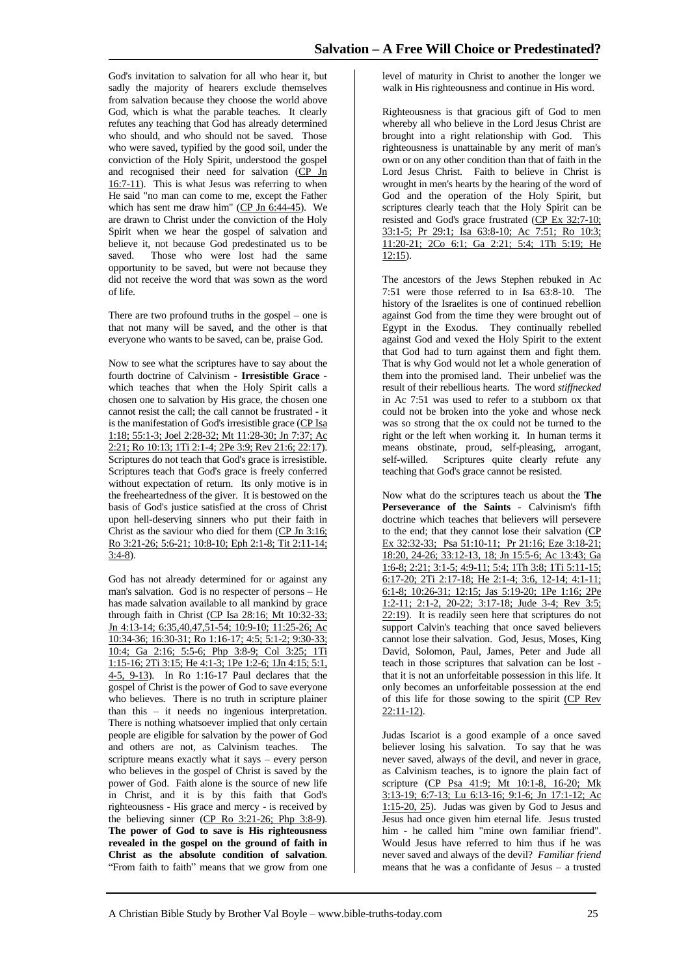God's invitation to salvation for all who hear it, but sadly the majority of hearers exclude themselves from salvation because they choose the world above God, which is what the parable teaches. It clearly refutes any teaching that God has already determined who should, and who should not be saved. Those who were saved, typified by the good soil, under the conviction of the Holy Spirit, understood the gospel and recognised their need for salvation (CP Jn 16:7-11). This is what Jesus was referring to when He said "no man can come to me, except the Father which has sent me draw him" ( $CP$  Jn  $6:44-45$ ). We are drawn to Christ under the conviction of the Holy Spirit when we hear the gospel of salvation and believe it, not because God predestinated us to be saved. Those who were lost had the same opportunity to be saved, but were not because they did not receive the word that was sown as the word of life.

There are two profound truths in the gospel – one is that not many will be saved, and the other is that everyone who wants to be saved, can be, praise God.

Now to see what the scriptures have to say about the fourth doctrine of Calvinism - **Irresistible Grace** which teaches that when the Holy Spirit calls a chosen one to salvation by His grace, the chosen one cannot resist the call; the call cannot be frustrated - it is the manifestation of God's irresistible grace (CP Isa 1:18; 55:1-3; Joel 2:28-32; Mt 11:28-30; Jn 7:37; Ac 2:21; Ro 10:13; 1Ti 2:1-4; 2Pe 3:9; Rev 21:6; 22:17). Scriptures do not teach that God's grace is irresistible. Scriptures teach that God's grace is freely conferred without expectation of return. Its only motive is in the freeheartedness of the giver. It is bestowed on the basis of God's justice satisfied at the cross of Christ upon hell-deserving sinners who put their faith in Christ as the saviour who died for them  $(CP \text{ Jn } 3:16;$ Ro 3:21-26; 5:6-21; 10:8-10; Eph 2:1-8; Tit 2:11-14; 3:4-8).

God has not already determined for or against any man's salvation. God is no respecter of persons – He has made salvation available to all mankind by grace through faith in Christ (CP Isa 28:16; Mt 10:32-33; Jn 4:13-14; 6:35,40,47,51-54; 10:9-10; 11:25-26; Ac 10:34-36; 16:30-31; Ro 1:16-17; 4:5; 5:1-2; 9:30-33; 10:4; Ga 2:16; 5:5-6; Php 3:8-9; Col 3:25; 1Ti 1:15-16; 2Ti 3:15; He 4:1-3; 1Pe 1:2-6; 1Jn 4:15; 5:1, 4-5, 9-13). In Ro 1:16-17 Paul declares that the gospel of Christ is the power of God to save everyone who believes. There is no truth in scripture plainer than this – it needs no ingenious interpretation. There is nothing whatsoever implied that only certain people are eligible for salvation by the power of God and others are not, as Calvinism teaches. The scripture means exactly what it says – every person who believes in the gospel of Christ is saved by the power of God. Faith alone is the source of new life in Christ, and it is by this faith that God's righteousness - His grace and mercy - is received by the believing sinner (CP Ro 3:21-26; Php 3:8-9). **The power of God to save is His righteousness revealed in the gospel on the ground of faith in Christ as the absolute condition of salvation**. "From faith to faith" means that we grow from one

level of maturity in Christ to another the longer we walk in His righteousness and continue in His word.

Righteousness is that gracious gift of God to men whereby all who believe in the Lord Jesus Christ are brought into a right relationship with God. This righteousness is unattainable by any merit of man's own or on any other condition than that of faith in the Lord Jesus Christ. Faith to believe in Christ is wrought in men's hearts by the hearing of the word of God and the operation of the Holy Spirit, but scriptures clearly teach that the Holy Spirit can be resisted and God's grace frustrated (CP Ex 32:7-10; 33:1-5; Pr 29:1; Isa 63:8-10; Ac 7:51; Ro 10:3; 11:20-21; 2Co 6:1; Ga 2:21; 5:4; 1Th 5:19; He  $12:15$ ).

The ancestors of the Jews Stephen rebuked in Ac 7:51 were those referred to in Isa 63:8-10. The history of the Israelites is one of continued rebellion against God from the time they were brought out of Egypt in the Exodus. They continually rebelled against God and vexed the Holy Spirit to the extent that God had to turn against them and fight them. That is why God would not let a whole generation of them into the promised land. Their unbelief was the result of their rebellious hearts. The word *stiffnecked* in Ac 7:51 was used to refer to a stubborn ox that could not be broken into the yoke and whose neck was so strong that the ox could not be turned to the right or the left when working it. In human terms it means obstinate, proud, self-pleasing, arrogant, self-willed. Scriptures quite clearly refute any teaching that God's grace cannot be resisted.

Now what do the scriptures teach us about the **The Perseverance of the Saints** - Calvinism's fifth doctrine which teaches that believers will persevere to the end; that they cannot lose their salvation (CP Ex 32:32-33; Psa 51:10-11; Pr 21:16; Eze 3:18-21; 18:20, 24-26; 33:12-13, 18; Jn 15:5-6; Ac 13:43; Ga 1:6-8; 2:21; 3:1-5; 4:9-11; 5:4; 1Th 3:8; 1Ti 5:11-15; 6:17-20; 2Ti 2:17-18; He 2:1-4; 3:6, 12-14; 4:1-11; 6:1-8; 10:26-31; 12:15; Jas 5:19-20; 1Pe 1:16; 2Pe 1:2-11; 2:1-2, 20-22; 3:17-18; Jude 3-4; Rev 3:5; 22:19). It is readily seen here that scriptures do not support Calvin's teaching that once saved believers cannot lose their salvation. God, Jesus, Moses, King David, Solomon, Paul, James, Peter and Jude all teach in those scriptures that salvation can be lost that it is not an unforfeitable possession in this life. It only becomes an unforfeitable possession at the end of this life for those sowing to the spirit (CP Rev 22:11-12).

Judas Iscariot is a good example of a once saved believer losing his salvation. To say that he was never saved, always of the devil, and never in grace, as Calvinism teaches, is to ignore the plain fact of scripture (CP Psa 41:9; Mt 10:1-8, 16-20; Mk 3:13-19; 6:7-13; Lu 6:13-16; 9:1-6; Jn 17:1-12; Ac 1:15-20, 25). Judas was given by God to Jesus and Jesus had once given him eternal life. Jesus trusted him - he called him "mine own familiar friend". Would Jesus have referred to him thus if he was never saved and always of the devil? *Familiar friend* means that he was a confidante of Jesus – a trusted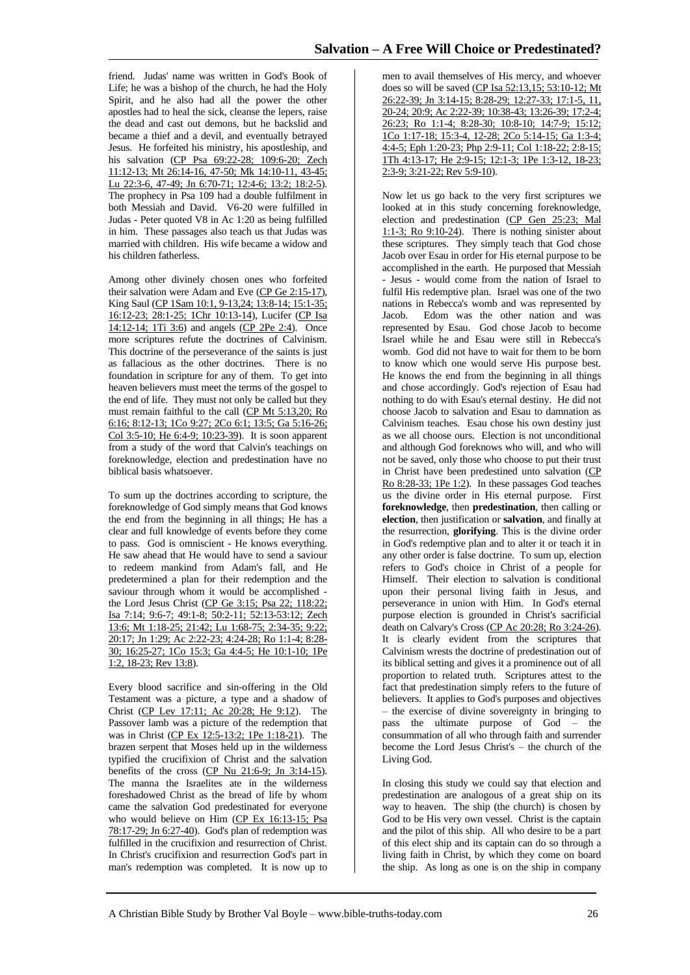friend. Judas' name was written in God's Book of Life; he was a bishop of the church, he had the Holy Spirit, and he also had all the power the other apostles had to heal the sick, cleanse the lepers, raise the dead and cast out demons, but he backslid and became a thief and a devil, and eventually betrayed Jesus. He forfeited his ministry, his apostleship, and his salvation (CP Psa 69:22-28; 109:6-20; Zech 11:12-13; Mt 26:14-16, 47-50; Mk 14:10-11, 43-45; Lu 22:3-6, 47-49; Jn 6:70-71; 12:4-6; 13:2; 18:2-5). The prophecy in Psa 109 had a double fulfilment in both Messiah and David. V6-20 were fulfilled in Judas - Peter quoted V8 in Ac 1:20 as being fulfilled in him. These passages also teach us that Judas was married with children. His wife became a widow and his children fatherless.

Among other divinely chosen ones who forfeited their salvation were Adam and Eve (CP Ge 2:15-17), King Saul (CP 1Sam 10:1, 9-13,24; 13:8-14; 15:1-35; 16:12-23; 28:1-25; 1Chr 10:13-14), Lucifer (CP Isa 14:12-14; 1Ti 3:6) and angels (CP 2Pe 2:4). Once more scriptures refute the doctrines of Calvinism. This doctrine of the perseverance of the saints is just as fallacious as the other doctrines. There is no foundation in scripture for any of them. To get into heaven believers must meet the terms of the gospel to the end of life. They must not only be called but they must remain faithful to the call (CP Mt 5:13,20; Ro 6:16; 8:12-13; 1Co 9:27; 2Co 6:1; 13:5; Ga 5:16-26; Col 3:5-10; He 6:4-9; 10:23-39). It is soon apparent from a study of the word that Calvin's teachings on foreknowledge, election and predestination have no biblical basis whatsoever.

To sum up the doctrines according to scripture, the foreknowledge of God simply means that God knows the end from the beginning in all things; He has a clear and full knowledge of events before they come to pass. God is omniscient - He knows everything. He saw ahead that He would have to send a saviour to redeem mankind from Adam's fall, and He predetermined a plan for their redemption and the saviour through whom it would be accomplished the Lord Jesus Christ (CP Ge 3:15; Psa 22; 118:22; Isa 7:14; 9:6-7; 49:1-8; 50:2-11; 52:13-53:12; Zech 13:6; Mt 1:18-25; 21:42; Lu 1:68-75; 2:34-35; 9:22; 20:17; Jn 1:29; Ac 2:22-23; 4:24-28; Ro 1:1-4; 8:28- 30; 16:25-27; 1Co 15:3; Ga 4:4-5; He 10:1-10; 1Pe 1:2, 18-23; Rev 13:8).

Every blood sacrifice and sin-offering in the Old Testament was a picture, a type and a shadow of Christ (CP Lev 17:11; Ac 20:28; He 9:12). The Passover lamb was a picture of the redemption that was in Christ (CP Ex 12:5-13:2; 1Pe 1:18-21). The brazen serpent that Moses held up in the wilderness typified the crucifixion of Christ and the salvation benefits of the cross (CP Nu 21:6-9; Jn 3:14-15). The manna the Israelites ate in the wilderness foreshadowed Christ as the bread of life by whom came the salvation God predestinated for everyone who would believe on Him (CP Ex 16:13-15; Psa 78:17-29; Jn 6:27-40). God's plan of redemption was fulfilled in the crucifixion and resurrection of Christ. In Christ's crucifixion and resurrection God's part in man's redemption was completed. It is now up to

men to avail themselves of His mercy, and whoever does so will be saved (CP Isa 52:13,15; 53:10-12; Mt 26:22-39; Jn 3:14-15; 8:28-29; 12:27-33; 17:1-5, 11, 20-24; 20:9; Ac 2:22-39; 10:38-43; 13:26-39; 17:2-4; 26:23; Ro 1:1-4; 8:28-30; 10:8-10; 14:7-9; 15:12; 1Co 1:17-18; 15:3-4, 12-28; 2Co 5:14-15; Ga 1:3-4; 4:4-5; Eph 1:20-23; Php 2:9-11; Col 1:18-22; 2:8-15; 1Th 4:13-17; He 2:9-15; 12:1-3; 1Pe 1:3-12, 18-23; 2:3-9; 3:21-22; Rev 5:9-10).

Now let us go back to the very first scriptures we looked at in this study concerning foreknowledge, election and predestination (CP Gen 25:23; Mal 1:1-3; Ro 9:10-24). There is nothing sinister about these scriptures. They simply teach that God chose Jacob over Esau in order for His eternal purpose to be accomplished in the earth. He purposed that Messiah - Jesus - would come from the nation of Israel to fulfil His redemptive plan. Israel was one of the two nations in Rebecca's womb and was represented by Jacob. Edom was the other nation and was represented by Esau. God chose Jacob to become Israel while he and Esau were still in Rebecca's womb. God did not have to wait for them to be born to know which one would serve His purpose best. He knows the end from the beginning in all things and chose accordingly. God's rejection of Esau had nothing to do with Esau's eternal destiny. He did not choose Jacob to salvation and Esau to damnation as Calvinism teaches. Esau chose his own destiny just as we all choose ours. Election is not unconditional and although God foreknows who will, and who will not be saved, only those who choose to put their trust in Christ have been predestined unto salvation (CP Ro 8:28-33; 1Pe 1:2). In these passages God teaches us the divine order in His eternal purpose. First **foreknowledge**, then **predestination**, then calling or **election**, then justification or **salvation**, and finally at the resurrection, **glorifying**. This is the divine order in God's redemptive plan and to alter it or teach it in any other order is false doctrine. To sum up, election refers to God's choice in Christ of a people for Himself. Their election to salvation is conditional upon their personal living faith in Jesus, and perseverance in union with Him. In God's eternal purpose election is grounded in Christ's sacrificial death on Calvary's Cross (CP Ac 20:28; Ro 3:24-26). It is clearly evident from the scriptures that Calvinism wrests the doctrine of predestination out of its biblical setting and gives it a prominence out of all proportion to related truth. Scriptures attest to the fact that predestination simply refers to the future of believers. It applies to God's purposes and objectives – the exercise of divine sovereignty in bringing to pass the ultimate purpose of God – the consummation of all who through faith and surrender become the Lord Jesus Christ's – the church of the Living God.

In closing this study we could say that election and predestination are analogous of a great ship on its way to heaven. The ship (the church) is chosen by God to be His very own vessel. Christ is the captain and the pilot of this ship. All who desire to be a part of this elect ship and its captain can do so through a living faith in Christ, by which they come on board the ship. As long as one is on the ship in company